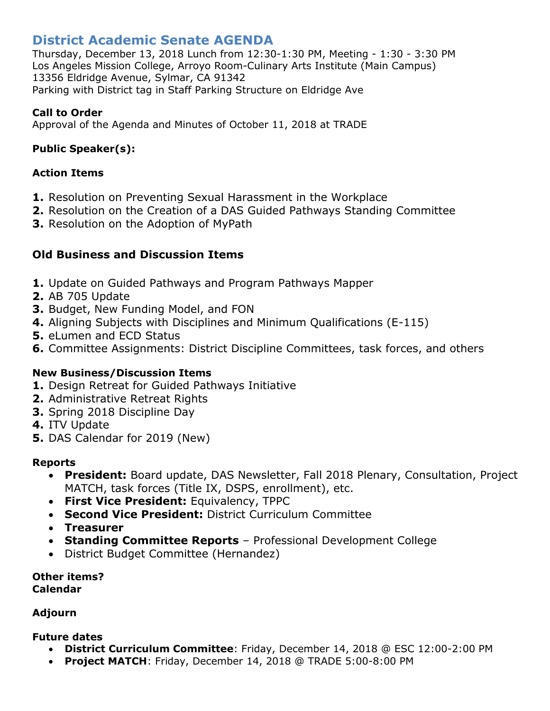# **District Academic Senate AGENDA**

Thursday, December 13, 2018 Lunch from 12:30-1:30 PM, Meeting - 1:30 - 3:30 PM Los Angeles Mission College, Arroyo Room-Culinary Arts Institute (Main Campus) 13356 Eldridge Avenue, Sylmar, CA 91342 Parking with District tag in Staff Parking Structure on Eldridge Ave

## **Call to Order**

Approval of the Agenda and Minutes of October 11, 2018 at TRADE

# **Public Speaker(s):**

### **Action Items**

- **1.** Resolution on Preventing Sexual Harassment in the Workplace
- **2.** Resolution on the Creation of a DAS Guided Pathways Standing Committee
- **3.** Resolution on the Adoption of MyPath

# **Old Business and Discussion Items**

- **1.** Update on Guided Pathways and Program Pathways Mapper
- **2.** AB 705 Update
- **3.** Budget, New Funding Model, and FON
- **4.** Aligning Subjects with Disciplines and Minimum Qualifications (E-115)
- **5.** eLumen and ECD Status
- **6.** Committee Assignments: District Discipline Committees, task forces, and others

## **New Business/Discussion Items**

- **1.** Design Retreat for Guided Pathways Initiative
- **2.** Administrative Retreat Rights
- **3.** Spring 2018 Discipline Day
- **4.** ITV Update
- **5.** DAS Calendar for 2019 (New)

#### **Reports**

- **President:** Board update, DAS Newsletter, Fall 2018 Plenary, Consultation, Project MATCH, task forces (Title IX, DSPS, enrollment), etc.
- **First Vice President:** Equivalency, TPPC
- **Second Vice President:** District Curriculum Committee
- **Treasurer**
- **Standing Committee Reports** Professional Development College
- District Budget Committee (Hernandez)

**Other items? Calendar**

#### **Adjourn**

#### **Future dates**

- **District Curriculum Committee**: Friday, December 14, 2018 @ ESC 12:00-2:00 PM
- **Project MATCH**: Friday, December 14, 2018 @ TRADE 5:00-8:00 PM